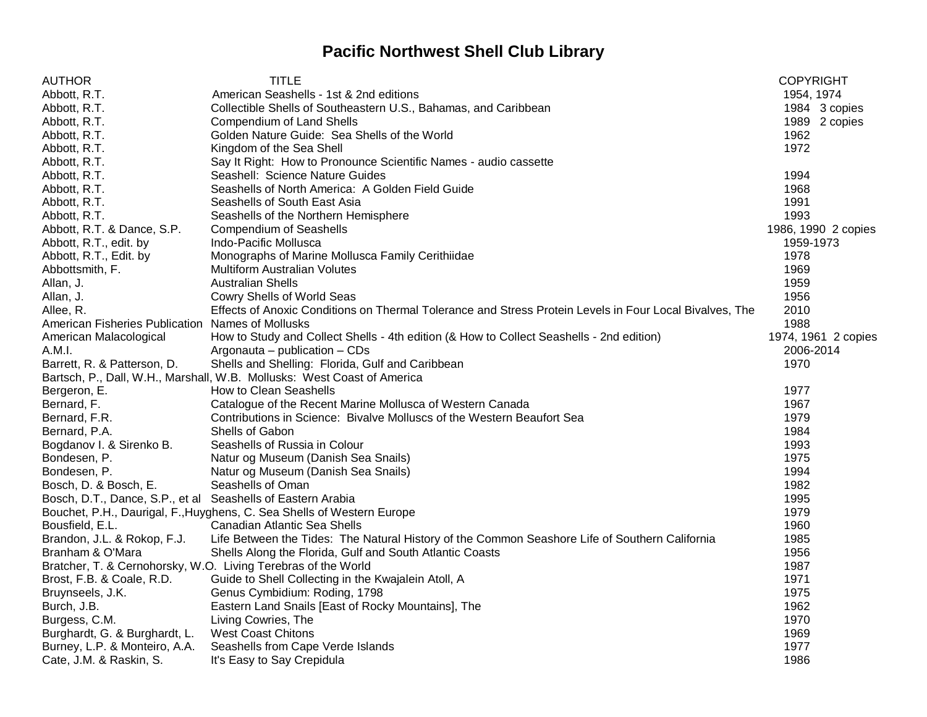## **Pacific Northwest Shell Club Library**

| <b>AUTHOR</b>                                                 | <b>TITLE</b>                                                                                            | <b>COPYRIGHT</b>    |
|---------------------------------------------------------------|---------------------------------------------------------------------------------------------------------|---------------------|
| Abbott, R.T.                                                  | American Seashells - 1st & 2nd editions                                                                 | 1954, 1974          |
| Abbott, R.T.                                                  | Collectible Shells of Southeastern U.S., Bahamas, and Caribbean                                         | 1984 3 copies       |
| Abbott, R.T.                                                  | <b>Compendium of Land Shells</b>                                                                        | 1989 2 copies       |
| Abbott, R.T.                                                  | Golden Nature Guide: Sea Shells of the World                                                            | 1962                |
| Abbott, R.T.                                                  | Kingdom of the Sea Shell                                                                                | 1972                |
| Abbott, R.T.                                                  | Say It Right: How to Pronounce Scientific Names - audio cassette                                        |                     |
| Abbott, R.T.                                                  | Seashell: Science Nature Guides                                                                         | 1994                |
| Abbott, R.T.                                                  | Seashells of North America: A Golden Field Guide                                                        | 1968                |
| Abbott, R.T.                                                  | Seashells of South East Asia                                                                            | 1991                |
| Abbott, R.T.                                                  | Seashells of the Northern Hemisphere                                                                    | 1993                |
| Abbott, R.T. & Dance, S.P.                                    | <b>Compendium of Seashells</b>                                                                          | 1986, 1990 2 copies |
| Abbott, R.T., edit. by                                        | Indo-Pacific Mollusca                                                                                   | 1959-1973           |
| Abbott, R.T., Edit. by                                        | Monographs of Marine Mollusca Family Cerithiidae                                                        | 1978                |
| Abbottsmith, F.                                               | <b>Multiform Australian Volutes</b>                                                                     | 1969                |
| Allan, J.                                                     | <b>Australian Shells</b>                                                                                | 1959                |
| Allan, J.                                                     | Cowry Shells of World Seas                                                                              | 1956                |
| Allee, R.                                                     | Effects of Anoxic Conditions on Thermal Tolerance and Stress Protein Levels in Four Local Bivalves, The | 2010                |
| American Fisheries Publication Names of Mollusks              |                                                                                                         | 1988                |
| American Malacological                                        | How to Study and Collect Shells - 4th edition (& How to Collect Seashells - 2nd edition)                | 1974, 1961 2 copies |
| A.M.I.                                                        | Argonauta - publication - CDs                                                                           | 2006-2014           |
| Barrett, R. & Patterson, D.                                   | Shells and Shelling: Florida, Gulf and Caribbean                                                        | 1970                |
|                                                               | Bartsch, P., Dall, W.H., Marshall, W.B. Mollusks: West Coast of America                                 |                     |
| Bergeron, E.                                                  | How to Clean Seashells                                                                                  | 1977                |
| Bernard, F.                                                   | Catalogue of the Recent Marine Mollusca of Western Canada                                               | 1967                |
| Bernard, F.R.                                                 | Contributions in Science: Bivalve Molluscs of the Western Beaufort Sea                                  | 1979                |
| Bernard, P.A.                                                 | Shells of Gabon                                                                                         | 1984                |
| Bogdanov I. & Sirenko B.                                      | Seashells of Russia in Colour                                                                           | 1993                |
| Bondesen, P.                                                  | Natur og Museum (Danish Sea Snails)                                                                     | 1975                |
| Bondesen, P.                                                  | Natur og Museum (Danish Sea Snails)                                                                     | 1994                |
| Bosch, D. & Bosch, E.                                         | Seashells of Oman                                                                                       | 1982                |
| Bosch, D.T., Dance, S.P., et al Seashells of Eastern Arabia   |                                                                                                         | 1995                |
|                                                               | Bouchet, P.H., Daurigal, F., Huyghens, C. Sea Shells of Western Europe                                  | 1979                |
| Bousfield, E.L.                                               | Canadian Atlantic Sea Shells                                                                            | 1960                |
| Brandon, J.L. & Rokop, F.J.                                   | Life Between the Tides: The Natural History of the Common Seashore Life of Southern California          | 1985                |
| Branham & O'Mara                                              | Shells Along the Florida, Gulf and South Atlantic Coasts                                                | 1956                |
| Bratcher, T. & Cernohorsky, W.O. Living Terebras of the World |                                                                                                         | 1987                |
| Brost, F.B. & Coale, R.D.                                     | Guide to Shell Collecting in the Kwajalein Atoll, A                                                     | 1971                |
| Bruynseels, J.K.                                              | Genus Cymbidium: Roding, 1798                                                                           | 1975                |
| Burch, J.B.                                                   | Eastern Land Snails [East of Rocky Mountains], The                                                      | 1962                |
| Burgess, C.M.                                                 | Living Cowries, The                                                                                     | 1970                |
| Burghardt, G. & Burghardt, L.                                 | <b>West Coast Chitons</b>                                                                               | 1969                |
| Burney, L.P. & Monteiro, A.A.                                 | Seashells from Cape Verde Islands                                                                       | 1977                |
| Cate, J.M. & Raskin, S.                                       | It's Easy to Say Crepidula                                                                              | 1986                |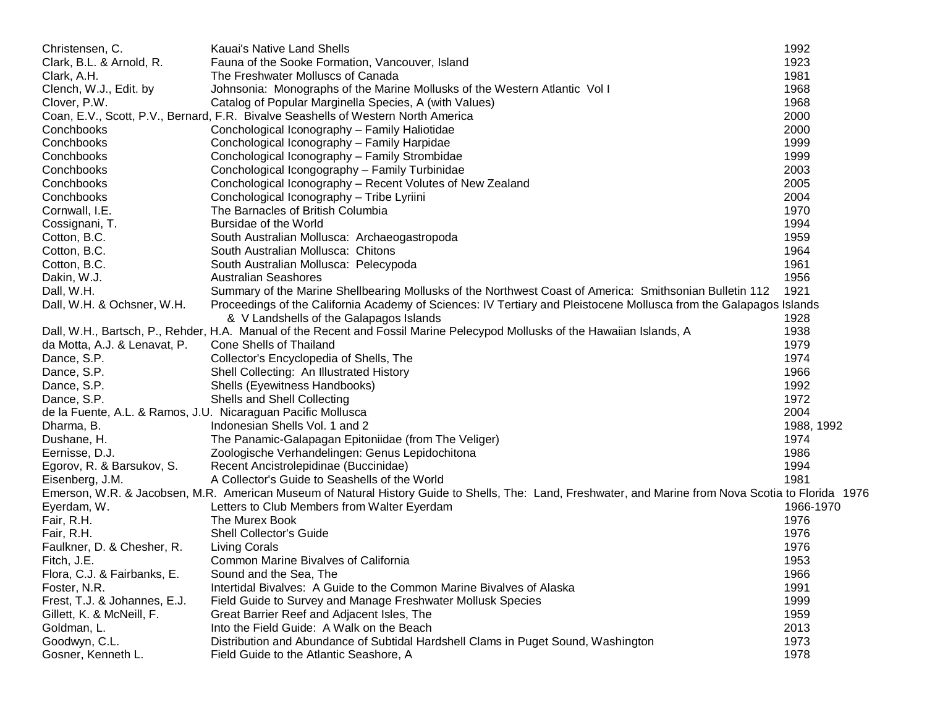| Christensen, C.                                              | Kauai's Native Land Shells                                                                                                                            | 1992       |
|--------------------------------------------------------------|-------------------------------------------------------------------------------------------------------------------------------------------------------|------------|
| Clark, B.L. & Arnold, R.                                     | Fauna of the Sooke Formation, Vancouver, Island                                                                                                       | 1923       |
| Clark, A.H.                                                  | The Freshwater Molluscs of Canada                                                                                                                     | 1981       |
| Clench, W.J., Edit. by                                       | Johnsonia: Monographs of the Marine Mollusks of the Western Atlantic Vol I                                                                            | 1968       |
| Clover, P.W.                                                 | Catalog of Popular Marginella Species, A (with Values)                                                                                                | 1968       |
|                                                              | Coan, E.V., Scott, P.V., Bernard, F.R. Bivalve Seashells of Western North America                                                                     | 2000       |
| Conchbooks                                                   | Conchological Iconography - Family Haliotidae                                                                                                         | 2000       |
| Conchbooks                                                   | Conchological Iconography - Family Harpidae                                                                                                           | 1999       |
| Conchbooks                                                   | Conchological Iconography - Family Strombidae                                                                                                         | 1999       |
| Conchbooks                                                   | Conchological Icongography - Family Turbinidae                                                                                                        | 2003       |
| Conchbooks                                                   | Conchological Iconography - Recent Volutes of New Zealand                                                                                             | 2005       |
| Conchbooks                                                   | Conchological Iconography - Tribe Lyriini                                                                                                             | 2004       |
| Cornwall, I.E.                                               | The Barnacles of British Columbia                                                                                                                     | 1970       |
| Cossignani, T.                                               | Bursidae of the World                                                                                                                                 | 1994       |
| Cotton, B.C.                                                 | South Australian Mollusca: Archaeogastropoda                                                                                                          | 1959       |
| Cotton, B.C.                                                 | South Australian Mollusca: Chitons                                                                                                                    | 1964       |
| Cotton, B.C.                                                 | South Australian Mollusca: Pelecypoda                                                                                                                 | 1961       |
| Dakin, W.J.                                                  | <b>Australian Seashores</b>                                                                                                                           | 1956       |
| Dall, W.H.                                                   | Summary of the Marine Shellbearing Mollusks of the Northwest Coast of America: Smithsonian Bulletin 112                                               | 1921       |
| Dall, W.H. & Ochsner, W.H.                                   | Proceedings of the California Academy of Sciences: IV Tertiary and Pleistocene Mollusca from the Galapagos Islands                                    |            |
|                                                              | & V Landshells of the Galapagos Islands                                                                                                               | 1928       |
|                                                              | Dall, W.H., Bartsch, P., Rehder, H.A. Manual of the Recent and Fossil Marine Pelecypod Mollusks of the Hawaiian Islands, A                            | 1938       |
| da Motta, A.J. & Lenavat, P.                                 | Cone Shells of Thailand                                                                                                                               | 1979       |
| Dance, S.P.                                                  | Collector's Encyclopedia of Shells, The                                                                                                               | 1974       |
| Dance, S.P.                                                  | Shell Collecting: An Illustrated History                                                                                                              | 1966       |
| Dance, S.P.                                                  | Shells (Eyewitness Handbooks)                                                                                                                         | 1992       |
| Dance, S.P.                                                  | Shells and Shell Collecting                                                                                                                           | 1972       |
| de la Fuente, A.L. & Ramos, J.U. Nicaraguan Pacific Mollusca |                                                                                                                                                       | 2004       |
| Dharma, B.                                                   | Indonesian Shells Vol. 1 and 2                                                                                                                        | 1988, 1992 |
| Dushane, H.                                                  | The Panamic-Galapagan Epitoniidae (from The Veliger)                                                                                                  | 1974       |
| Eernisse, D.J.                                               | Zoologische Verhandelingen: Genus Lepidochitona                                                                                                       | 1986       |
| Egorov, R. & Barsukov, S.                                    | Recent Ancistrolepidinae (Buccinidae)                                                                                                                 | 1994       |
| Eisenberg, J.M.                                              | A Collector's Guide to Seashells of the World                                                                                                         | 1981       |
|                                                              | Emerson, W.R. & Jacobsen, M.R. American Museum of Natural History Guide to Shells, The: Land, Freshwater, and Marine from Nova Scotia to Florida 1976 |            |
| Eyerdam, W.                                                  | Letters to Club Members from Walter Eyerdam                                                                                                           | 1966-1970  |
| Fair, R.H.                                                   | The Murex Book                                                                                                                                        | 1976       |
| Fair, R.H.                                                   | <b>Shell Collector's Guide</b>                                                                                                                        | 1976       |
| Faulkner, D. & Chesher, R.                                   | <b>Living Corals</b>                                                                                                                                  | 1976       |
| Fitch, J.E.                                                  | Common Marine Bivalves of California                                                                                                                  | 1953       |
| Flora, C.J. & Fairbanks, E.                                  | Sound and the Sea, The                                                                                                                                | 1966       |
| Foster, N.R.                                                 | Intertidal Bivalves: A Guide to the Common Marine Bivalves of Alaska                                                                                  | 1991       |
| Frest, T.J. & Johannes, E.J.                                 | Field Guide to Survey and Manage Freshwater Mollusk Species                                                                                           | 1999       |
| Gillett, K. & McNeill, F.                                    | Great Barrier Reef and Adjacent Isles, The                                                                                                            | 1959       |
| Goldman, L.                                                  | Into the Field Guide: A Walk on the Beach                                                                                                             | 2013       |
| Goodwyn, C.L.                                                | Distribution and Abundance of Subtidal Hardshell Clams in Puget Sound, Washington                                                                     | 1973       |
| Gosner, Kenneth L.                                           | Field Guide to the Atlantic Seashore, A                                                                                                               | 1978       |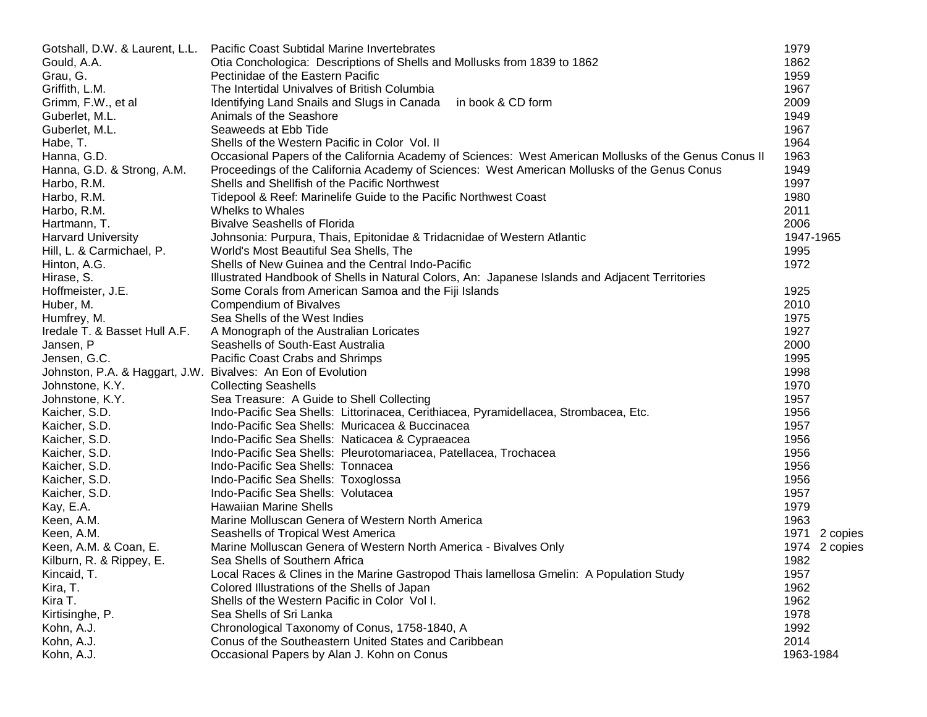| Gotshall, D.W. & Laurent, L.L.                               | Pacific Coast Subtidal Marine Invertebrates                                                           | 1979             |
|--------------------------------------------------------------|-------------------------------------------------------------------------------------------------------|------------------|
| Gould, A.A.                                                  | Otia Conchologica: Descriptions of Shells and Mollusks from 1839 to 1862                              | 1862             |
| Grau, G.                                                     | Pectinidae of the Eastern Pacific                                                                     | 1959             |
| Griffith, L.M.                                               | The Intertidal Univalves of British Columbia                                                          | 1967             |
| Grimm, F.W., et al                                           | Identifying Land Snails and Slugs in Canada<br>in book & CD form                                      | 2009             |
| Guberlet, M.L.                                               | Animals of the Seashore                                                                               | 1949             |
| Guberlet, M.L.                                               | Seaweeds at Ebb Tide                                                                                  | 1967             |
| Habe, T.                                                     | Shells of the Western Pacific in Color Vol. II                                                        | 1964             |
| Hanna, G.D.                                                  | Occasional Papers of the California Academy of Sciences: West American Mollusks of the Genus Conus II | 1963             |
| Hanna, G.D. & Strong, A.M.                                   | Proceedings of the California Academy of Sciences: West American Mollusks of the Genus Conus          | 1949             |
| Harbo, R.M.                                                  | Shells and Shellfish of the Pacific Northwest                                                         | 1997             |
| Harbo, R.M.                                                  | Tidepool & Reef: Marinelife Guide to the Pacific Northwest Coast                                      | 1980             |
| Harbo, R.M.                                                  | Whelks to Whales                                                                                      | 2011             |
| Hartmann, T.                                                 | <b>Bivalve Seashells of Florida</b>                                                                   | 2006             |
| <b>Harvard University</b>                                    | Johnsonia: Purpura, Thais, Epitonidae & Tridacnidae of Western Atlantic                               | 1947-1965        |
| Hill, L. & Carmichael, P.                                    | World's Most Beautiful Sea Shells, The                                                                | 1995             |
| Hinton, A.G.                                                 | Shells of New Guinea and the Central Indo-Pacific                                                     | 1972             |
| Hirase, S.                                                   | Illustrated Handbook of Shells in Natural Colors, An: Japanese Islands and Adjacent Territories       |                  |
| Hoffmeister, J.E.                                            | Some Corals from American Samoa and the Fiji Islands                                                  | 1925             |
| Huber, M.                                                    | Compendium of Bivalves                                                                                | 2010             |
| Humfrey, M.                                                  | Sea Shells of the West Indies                                                                         | 1975             |
| Iredale T. & Basset Hull A.F.                                | A Monograph of the Australian Loricates                                                               | 1927             |
| Jansen, P                                                    | Seashells of South-East Australia                                                                     | 2000             |
| Jensen, G.C.                                                 | Pacific Coast Crabs and Shrimps                                                                       | 1995             |
| Johnston, P.A. & Haggart, J.W. Bivalves: An Eon of Evolution |                                                                                                       | 1998             |
| Johnstone, K.Y.                                              | <b>Collecting Seashells</b>                                                                           | 1970             |
| Johnstone, K.Y.                                              | Sea Treasure: A Guide to Shell Collecting                                                             | 1957             |
| Kaicher, S.D.                                                | Indo-Pacific Sea Shells: Littorinacea, Cerithiacea, Pyramidellacea, Strombacea, Etc.                  | 1956             |
| Kaicher, S.D.                                                | Indo-Pacific Sea Shells: Muricacea & Buccinacea                                                       | 1957             |
| Kaicher, S.D.                                                | Indo-Pacific Sea Shells: Naticacea & Cypraeacea                                                       | 1956             |
| Kaicher, S.D.                                                | Indo-Pacific Sea Shells: Pleurotomariacea, Patellacea, Trochacea                                      | 1956             |
| Kaicher, S.D.                                                | Indo-Pacific Sea Shells: Tonnacea                                                                     | 1956             |
| Kaicher, S.D.                                                | Indo-Pacific Sea Shells: Toxoglossa                                                                   | 1956             |
| Kaicher, S.D.                                                | Indo-Pacific Sea Shells: Volutacea                                                                    | 1957             |
| Kay, E.A.                                                    | <b>Hawaiian Marine Shells</b>                                                                         | 1979             |
| Keen, A.M.                                                   | Marine Molluscan Genera of Western North America                                                      | 1963             |
| Keen, A.M.                                                   | Seashells of Tropical West America                                                                    | 1971<br>2 copies |
| Keen, A.M. & Coan, E.                                        | Marine Molluscan Genera of Western North America - Bivalves Only                                      | 1974<br>2 copies |
| Kilburn, R. & Rippey, E.                                     | Sea Shells of Southern Africa                                                                         | 1982             |
| Kincaid, T.                                                  | Local Races & Clines in the Marine Gastropod Thais lamellosa Gmelin: A Population Study               | 1957             |
| Kira, T.                                                     | Colored Illustrations of the Shells of Japan                                                          | 1962             |
| Kira T.                                                      | Shells of the Western Pacific in Color Vol I.                                                         | 1962             |
| Kirtisinghe, P.                                              | Sea Shells of Sri Lanka                                                                               | 1978             |
| Kohn, A.J.                                                   | Chronological Taxonomy of Conus, 1758-1840, A                                                         | 1992             |
| Kohn, A.J.                                                   | Conus of the Southeastern United States and Caribbean                                                 | 2014             |
| Kohn, A.J.                                                   | Occasional Papers by Alan J. Kohn on Conus                                                            | 1963-1984        |
|                                                              |                                                                                                       |                  |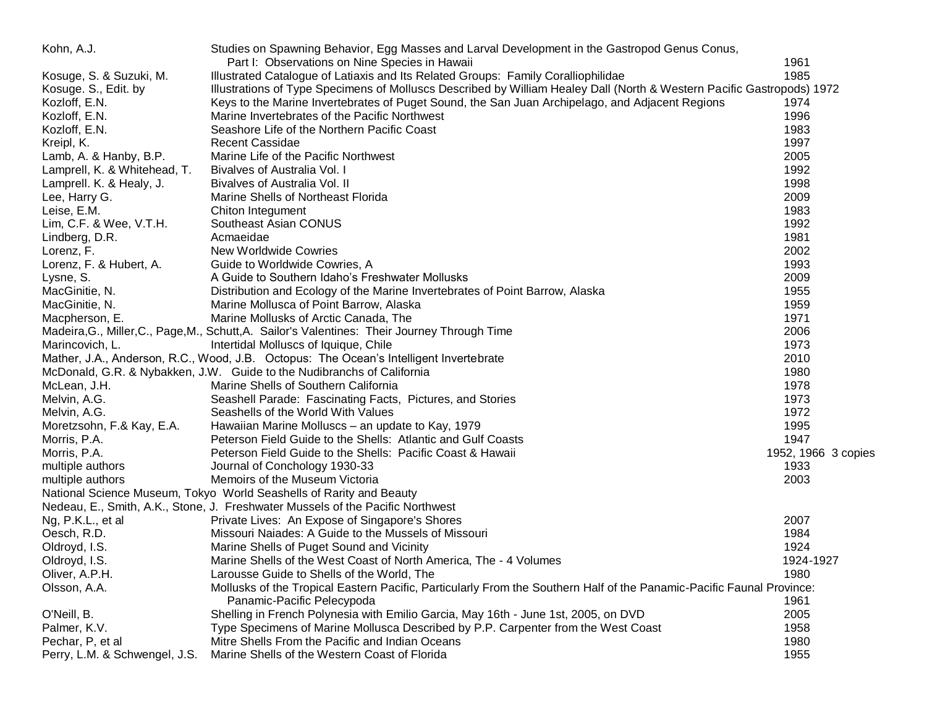| Kohn, A.J.                    | Studies on Spawning Behavior, Egg Masses and Larval Development in the Gastropod Genus Conus,                          |                     |
|-------------------------------|------------------------------------------------------------------------------------------------------------------------|---------------------|
|                               | Part I: Observations on Nine Species in Hawaii                                                                         | 1961                |
| Kosuge, S. & Suzuki, M.       | Illustrated Catalogue of Latiaxis and Its Related Groups: Family Coralliophilidae                                      | 1985                |
| Kosuge. S., Edit. by          | Illustrations of Type Specimens of Molluscs Described by William Healey Dall (North & Western Pacific Gastropods) 1972 |                     |
| Kozloff, E.N.                 | Keys to the Marine Invertebrates of Puget Sound, the San Juan Archipelago, and Adjacent Regions                        | 1974                |
| Kozloff, E.N.                 | Marine Invertebrates of the Pacific Northwest                                                                          | 1996                |
| Kozloff, E.N.                 | Seashore Life of the Northern Pacific Coast                                                                            | 1983                |
| Kreipl, K.                    | <b>Recent Cassidae</b>                                                                                                 | 1997                |
| Lamb, A. & Hanby, B.P.        | Marine Life of the Pacific Northwest                                                                                   | 2005                |
| Lamprell, K. & Whitehead, T.  | Bivalves of Australia Vol. I                                                                                           | 1992                |
| Lamprell. K. & Healy, J.      | Bivalves of Australia Vol. II                                                                                          | 1998                |
| Lee, Harry G.                 | Marine Shells of Northeast Florida                                                                                     | 2009                |
| Leise, E.M.                   | Chiton Integument                                                                                                      | 1983                |
| Lim, C.F. & Wee, V.T.H.       | Southeast Asian CONUS                                                                                                  | 1992                |
| Lindberg, D.R.                | Acmaeidae                                                                                                              | 1981                |
| Lorenz, F.                    | <b>New Worldwide Cowries</b>                                                                                           | 2002                |
| Lorenz, F. & Hubert, A.       | Guide to Worldwide Cowries, A                                                                                          | 1993                |
| Lysne, S.                     | A Guide to Southern Idaho's Freshwater Mollusks                                                                        | 2009                |
| MacGinitie, N.                | Distribution and Ecology of the Marine Invertebrates of Point Barrow, Alaska                                           | 1955                |
| MacGinitie, N.                | Marine Mollusca of Point Barrow, Alaska                                                                                | 1959                |
| Macpherson, E.                | Marine Mollusks of Arctic Canada, The                                                                                  | 1971                |
|                               | Madeira, G., Miller, C., Page, M., Schutt, A. Sailor's Valentines: Their Journey Through Time                          | 2006                |
| Marincovich, L.               | Intertidal Molluscs of Iquique, Chile                                                                                  | 1973                |
|                               | Mather, J.A., Anderson, R.C., Wood, J.B. Octopus: The Ocean's Intelligent Invertebrate                                 | 2010                |
|                               | McDonald, G.R. & Nybakken, J.W. Guide to the Nudibranchs of California                                                 | 1980                |
| McLean, J.H.                  | Marine Shells of Southern California                                                                                   | 1978                |
| Melvin, A.G.                  | Seashell Parade: Fascinating Facts, Pictures, and Stories                                                              | 1973                |
| Melvin, A.G.                  | Seashells of the World With Values                                                                                     | 1972                |
| Moretzsohn, F.& Kay, E.A.     | Hawaiian Marine Molluscs - an update to Kay, 1979                                                                      | 1995                |
| Morris, P.A.                  | Peterson Field Guide to the Shells: Atlantic and Gulf Coasts                                                           | 1947                |
| Morris, P.A.                  | Peterson Field Guide to the Shells: Pacific Coast & Hawaii                                                             | 1952, 1966 3 copies |
| multiple authors              | Journal of Conchology 1930-33                                                                                          | 1933                |
| multiple authors              | Memoirs of the Museum Victoria                                                                                         | 2003                |
|                               | National Science Museum, Tokyo World Seashells of Rarity and Beauty                                                    |                     |
|                               |                                                                                                                        |                     |
|                               | Nedeau, E., Smith, A.K., Stone, J. Freshwater Mussels of the Pacific Northwest                                         |                     |
| Ng, P.K.L., et al             | Private Lives: An Expose of Singapore's Shores                                                                         | 2007                |
| Oesch, R.D.                   | Missouri Naiades: A Guide to the Mussels of Missouri                                                                   | 1984                |
| Oldroyd, I.S.                 | Marine Shells of Puget Sound and Vicinity                                                                              | 1924                |
| Oldroyd, I.S.                 | Marine Shells of the West Coast of North America, The - 4 Volumes                                                      | 1924-1927           |
| Oliver, A.P.H.                | Larousse Guide to Shells of the World, The                                                                             | 1980                |
| Olsson, A.A.                  | Mollusks of the Tropical Eastern Pacific, Particularly From the Southern Half of the Panamic-Pacific Faunal Province:  |                     |
|                               | Panamic-Pacific Pelecypoda                                                                                             | 1961                |
| O'Neill, B.                   | Shelling in French Polynesia with Emilio Garcia, May 16th - June 1st, 2005, on DVD                                     | 2005                |
| Palmer, K.V.                  | Type Specimens of Marine Mollusca Described by P.P. Carpenter from the West Coast                                      | 1958                |
| Pechar, P, et al              | Mitre Shells From the Pacific and Indian Oceans                                                                        | 1980                |
| Perry, L.M. & Schwengel, J.S. | Marine Shells of the Western Coast of Florida                                                                          | 1955                |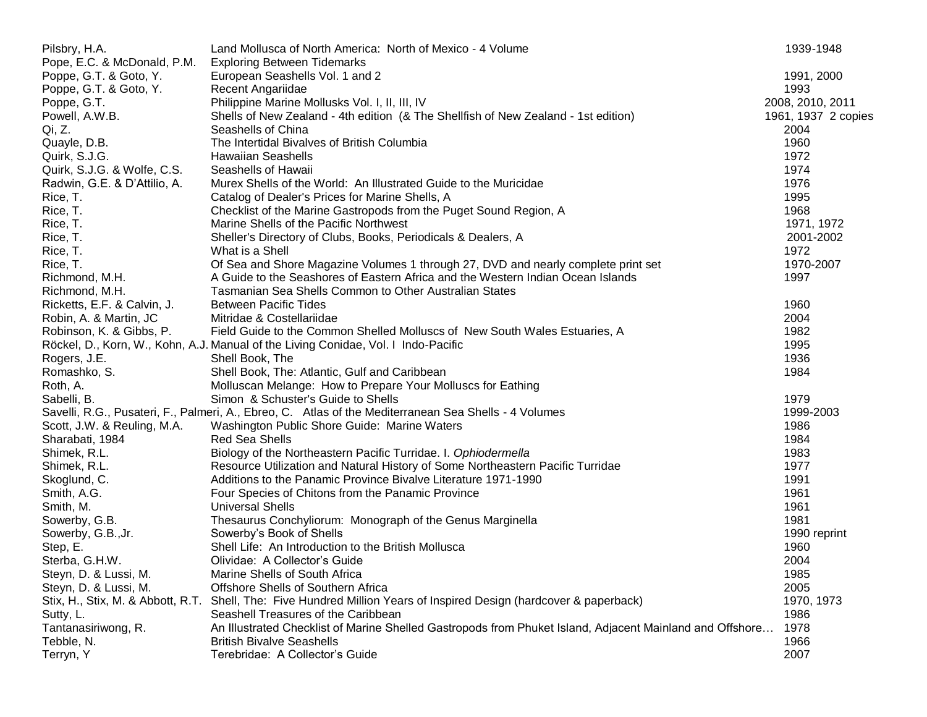| Pilsbry, H.A.                | Land Mollusca of North America: North of Mexico - 4 Volume                                                          | 1939-1948           |
|------------------------------|---------------------------------------------------------------------------------------------------------------------|---------------------|
| Pope, E.C. & McDonald, P.M.  | <b>Exploring Between Tidemarks</b>                                                                                  |                     |
| Poppe, G.T. & Goto, Y.       | European Seashells Vol. 1 and 2                                                                                     | 1991, 2000          |
| Poppe, G.T. & Goto, Y.       | Recent Angariidae                                                                                                   | 1993                |
| Poppe, G.T.                  | Philippine Marine Mollusks Vol. I, II, III, IV                                                                      | 2008, 2010, 2011    |
| Powell, A.W.B.               | Shells of New Zealand - 4th edition (& The Shellfish of New Zealand - 1st edition)                                  | 1961, 1937 2 copies |
| Qi, Z.                       | Seashells of China                                                                                                  | 2004                |
| Quayle, D.B.                 | The Intertidal Bivalves of British Columbia                                                                         | 1960                |
| Quirk, S.J.G.                | <b>Hawaiian Seashells</b>                                                                                           | 1972                |
| Quirk, S.J.G. & Wolfe, C.S.  | Seashells of Hawaii                                                                                                 | 1974                |
| Radwin, G.E. & D'Attilio, A. | Murex Shells of the World: An Illustrated Guide to the Muricidae                                                    | 1976                |
| Rice, T.                     | Catalog of Dealer's Prices for Marine Shells, A                                                                     | 1995                |
| Rice, T.                     | Checklist of the Marine Gastropods from the Puget Sound Region, A                                                   | 1968                |
| Rice, T.                     | Marine Shells of the Pacific Northwest                                                                              | 1971, 1972          |
| Rice, T.                     | Sheller's Directory of Clubs, Books, Periodicals & Dealers, A                                                       | 2001-2002           |
| Rice, T.                     | What is a Shell                                                                                                     | 1972                |
| Rice, T.                     | Of Sea and Shore Magazine Volumes 1 through 27, DVD and nearly complete print set                                   | 1970-2007           |
| Richmond, M.H.               | A Guide to the Seashores of Eastern Africa and the Western Indian Ocean Islands                                     | 1997                |
| Richmond, M.H.               | Tasmanian Sea Shells Common to Other Australian States                                                              |                     |
| Ricketts, E.F. & Calvin, J.  | <b>Between Pacific Tides</b>                                                                                        | 1960                |
| Robin, A. & Martin, JC       | Mitridae & Costellariidae                                                                                           | 2004                |
| Robinson, K. & Gibbs, P.     | Field Guide to the Common Shelled Molluscs of New South Wales Estuaries, A                                          | 1982                |
|                              | Röckel, D., Korn, W., Kohn, A.J. Manual of the Living Conidae, Vol. I Indo-Pacific                                  | 1995                |
| Rogers, J.E.                 | Shell Book, The                                                                                                     | 1936                |
| Romashko, S.                 | Shell Book, The: Atlantic, Gulf and Caribbean                                                                       | 1984                |
| Roth, A.                     | Molluscan Melange: How to Prepare Your Molluscs for Eathing                                                         |                     |
| Sabelli, B.                  | Simon & Schuster's Guide to Shells                                                                                  | 1979                |
|                              | Savelli, R.G., Pusateri, F., Palmeri, A., Ebreo, C. Atlas of the Mediterranean Sea Shells - 4 Volumes               | 1999-2003           |
| Scott, J.W. & Reuling, M.A.  | Washington Public Shore Guide: Marine Waters                                                                        | 1986                |
| Sharabati, 1984              | <b>Red Sea Shells</b>                                                                                               | 1984                |
| Shimek, R.L.                 | Biology of the Northeastern Pacific Turridae. I. Ophiodermella                                                      | 1983                |
| Shimek, R.L.                 | Resource Utilization and Natural History of Some Northeastern Pacific Turridae                                      | 1977                |
| Skoglund, C.                 | Additions to the Panamic Province Bivalve Literature 1971-1990                                                      | 1991                |
| Smith, A.G.                  | Four Species of Chitons from the Panamic Province                                                                   | 1961                |
| Smith, M.                    | <b>Universal Shells</b>                                                                                             | 1961                |
| Sowerby, G.B.                | Thesaurus Conchyliorum: Monograph of the Genus Marginella                                                           | 1981                |
| Sowerby, G.B., Jr.           | Sowerby's Book of Shells                                                                                            | 1990 reprint        |
| Step, E.                     | Shell Life: An Introduction to the British Mollusca                                                                 | 1960                |
| Sterba, G.H.W.               | Olividae: A Collector's Guide                                                                                       | 2004                |
| Steyn, D. & Lussi, M.        | Marine Shells of South Africa                                                                                       | 1985                |
| Steyn, D. & Lussi, M.        | Offshore Shells of Southern Africa                                                                                  | 2005                |
|                              | Stix, H., Stix, M. & Abbott, R.T. Shell, The: Five Hundred Million Years of Inspired Design (hardcover & paperback) | 1970, 1973          |
| Sutty, L.                    | Seashell Treasures of the Caribbean                                                                                 | 1986                |
| Tantanasiriwong, R.          | An Illustrated Checklist of Marine Shelled Gastropods from Phuket Island, Adjacent Mainland and Offshore            | 1978                |
| Tebble, N.                   | <b>British Bivalve Seashells</b>                                                                                    | 1966                |
| Terryn, Y                    | Terebridae: A Collector's Guide                                                                                     | 2007                |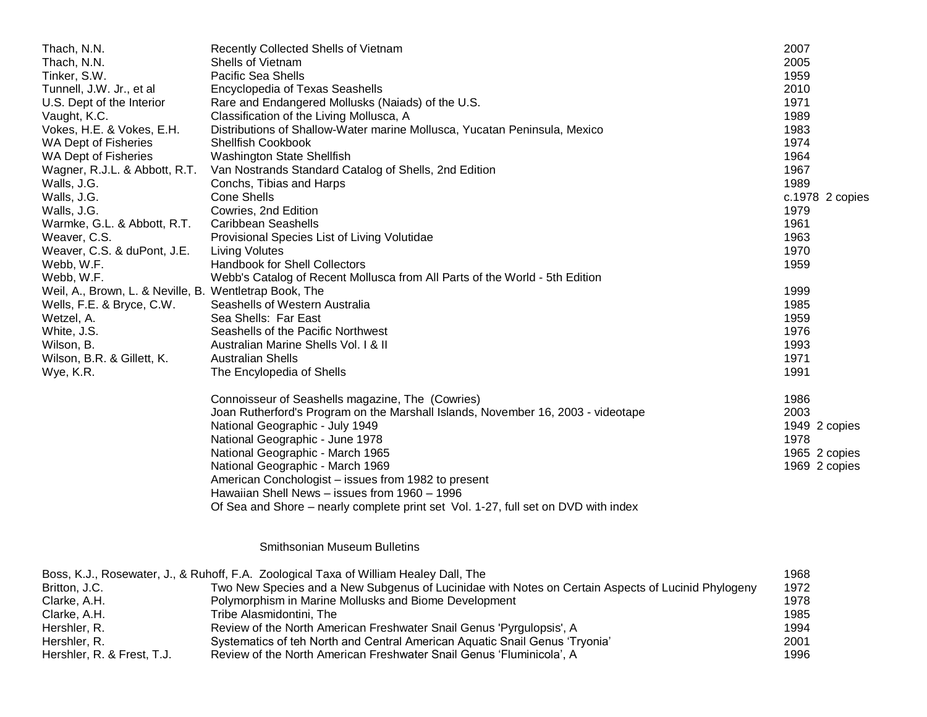| Thach, N.N.                                            | Recently Collected Shells of Vietnam                                               | 2007            |
|--------------------------------------------------------|------------------------------------------------------------------------------------|-----------------|
| Thach, N.N.                                            | Shells of Vietnam                                                                  | 2005            |
| Tinker, S.W.                                           | <b>Pacific Sea Shells</b>                                                          | 1959            |
| Tunnell, J.W. Jr., et al                               | <b>Encyclopedia of Texas Seashells</b>                                             | 2010            |
| U.S. Dept of the Interior                              | Rare and Endangered Mollusks (Naiads) of the U.S.                                  | 1971            |
| Vaught, K.C.                                           | Classification of the Living Mollusca, A                                           | 1989            |
| Vokes, H.E. & Vokes, E.H.                              | Distributions of Shallow-Water marine Mollusca, Yucatan Peninsula, Mexico          | 1983            |
| WA Dept of Fisheries                                   | Shellfish Cookbook                                                                 | 1974            |
| WA Dept of Fisheries                                   | Washington State Shellfish                                                         | 1964            |
| Wagner, R.J.L. & Abbott, R.T.                          | Van Nostrands Standard Catalog of Shells, 2nd Edition                              | 1967            |
| Walls, J.G.                                            | Conchs, Tibias and Harps                                                           | 1989            |
| Walls, J.G.                                            | <b>Cone Shells</b>                                                                 | c.1978 2 copies |
| Walls, J.G.                                            | Cowries, 2nd Edition                                                               | 1979            |
| Warmke, G.L. & Abbott, R.T.                            | <b>Caribbean Seashells</b>                                                         | 1961            |
| Weaver, C.S.                                           | Provisional Species List of Living Volutidae                                       | 1963            |
| Weaver, C.S. & duPont, J.E.                            | <b>Living Volutes</b>                                                              | 1970            |
| Webb, W.F.                                             | Handbook for Shell Collectors                                                      | 1959            |
| Webb, W.F.                                             | Webb's Catalog of Recent Mollusca from All Parts of the World - 5th Edition        |                 |
| Weil, A., Brown, L. & Neville, B. Wentletrap Book, The |                                                                                    | 1999            |
| Wells, F.E. & Bryce, C.W.                              | Seashells of Western Australia                                                     | 1985            |
| Wetzel, A.                                             | Sea Shells: Far East                                                               | 1959            |
| White, J.S.                                            | Seashells of the Pacific Northwest                                                 | 1976            |
| Wilson, B.                                             | Australian Marine Shells Vol. I & II                                               | 1993            |
| Wilson, B.R. & Gillett, K.                             | <b>Australian Shells</b>                                                           | 1971            |
| Wye, K.R.                                              | The Encylopedia of Shells                                                          | 1991            |
|                                                        | Connoisseur of Seashells magazine, The (Cowries)                                   | 1986            |
|                                                        | Joan Rutherford's Program on the Marshall Islands, November 16, 2003 - videotape   | 2003            |
|                                                        | National Geographic - July 1949                                                    | 1949 2 copies   |
|                                                        | National Geographic - June 1978                                                    | 1978            |
|                                                        | National Geographic - March 1965                                                   | 1965 2 copies   |
|                                                        | National Geographic - March 1969                                                   | 1969 2 copies   |
|                                                        | American Conchologist – issues from 1982 to present                                |                 |
|                                                        | Hawaiian Shell News - issues from 1960 - 1996                                      |                 |
|                                                        | Of Sea and Shore – nearly complete print set Vol. 1-27, full set on DVD with index |                 |
|                                                        |                                                                                    |                 |

## Smithsonian Museum Bulletins

|                            | Boss, K.J., Rosewater, J., & Ruhoff, F.A. Zoological Taxa of William Healey Dall, The              | 1968 |
|----------------------------|----------------------------------------------------------------------------------------------------|------|
| Britton, J.C.              | Two New Species and a New Subgenus of Lucinidae with Notes on Certain Aspects of Lucinid Phylogeny | 1972 |
| Clarke, A.H.               | Polymorphism in Marine Mollusks and Biome Development                                              | 1978 |
| Clarke, A.H.               | Tribe Alasmidontini. The                                                                           | 1985 |
| Hershler, R.               | Review of the North American Freshwater Snail Genus 'Pyrgulopsis', A                               | 1994 |
| Hershler, R.               | Systematics of teh North and Central American Aquatic Snail Genus 'Tryonia'                        | 2001 |
| Hershler, R. & Frest, T.J. | Review of the North American Freshwater Snail Genus 'Fluminicola', A                               | 1996 |